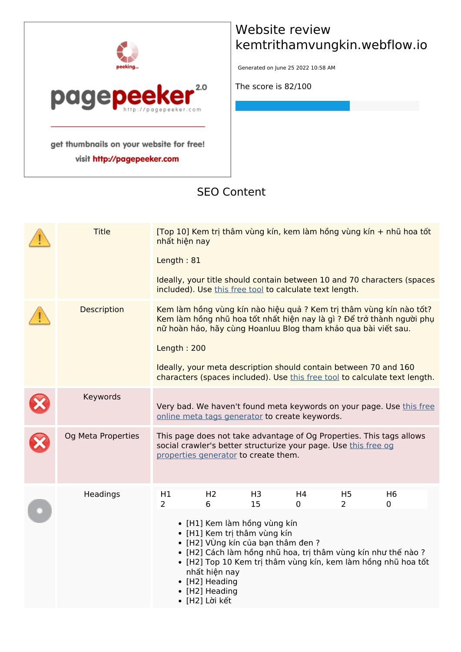

visit http://pagepeeker.com

# **Website review kemtrithamvungkin.webflow.io**

Generated on June 25 2022 10:58 AM

**The score is 82/100**

#### **SEO Content**

| <b>Title</b>       | nhất hiện nay        |                                                                                                                                                                                                  |                      |                                                         |                                                                  | [Top 10] Kem trị thâm vùng kín, kem làm hồng vùng kín + nhũ hoa tốt                                                                                   |  |
|--------------------|----------------------|--------------------------------------------------------------------------------------------------------------------------------------------------------------------------------------------------|----------------------|---------------------------------------------------------|------------------------------------------------------------------|-------------------------------------------------------------------------------------------------------------------------------------------------------|--|
|                    | Length: 81           |                                                                                                                                                                                                  |                      |                                                         |                                                                  |                                                                                                                                                       |  |
|                    |                      |                                                                                                                                                                                                  |                      | included). Use this free tool to calculate text length. |                                                                  | Ideally, your title should contain between 10 and 70 characters (spaces                                                                               |  |
| <b>Description</b> | Length: 200          |                                                                                                                                                                                                  |                      |                                                         | nữ hoàn hảo, hãy cùng Hoanluu Blog tham khảo qua bài viết sau.   | Kem làm hồng vùng kín nào hiệu quả ? Kem trị thâm vùng kín nào tốt?<br>Kem làm hồng nhũ hoa tốt nhất hiện nay là gì ? Để trở thành người phụ          |  |
|                    |                      |                                                                                                                                                                                                  |                      |                                                         | Ideally, your meta description should contain between 70 and 160 | characters (spaces included). Use this free tool to calculate text length.                                                                            |  |
| Keywords           |                      |                                                                                                                                                                                                  |                      | online meta tags generator to create keywords.          |                                                                  | Very bad. We haven't found meta keywords on your page. Use this free                                                                                  |  |
| Og Meta Properties |                      | properties generator to create them.                                                                                                                                                             |                      |                                                         | social crawler's better structurize your page. Use this free og  | This page does not take advantage of Og Properties. This tags allows                                                                                  |  |
| Headings           | H1<br>$\overline{2}$ | H <sub>2</sub><br>6<br>• [H1] Kem làm hồng vùng kín<br>· [H1] Kem trị thâm vùng kín<br>• [H2] VÙng kín của bạn thâm đen ?<br>nhất hiện nay<br>• [H2] Heading<br>• [H2] Heading<br>• [H2] Lời kết | H <sub>3</sub><br>15 | H <sub>4</sub><br>0                                     | H <sub>5</sub><br>$\overline{2}$                                 | H <sub>6</sub><br>0<br>• [H2] Cách làm hồng nhũ hoa, trị thâm vùng kín như thế nào ?<br>• [H2] Top 10 Kem trị thâm vùng kín, kem làm hồng nhũ hoa tốt |  |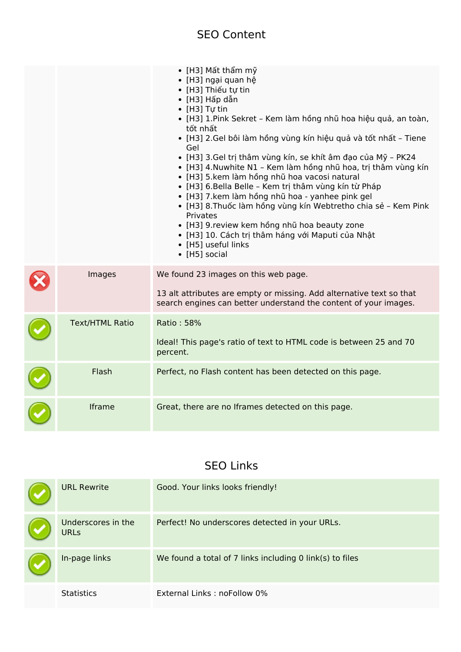#### **SEO Content**

|                        | $\bullet$ [H3] Mất thẩm mỹ<br>• [H3] ngại quan hệ<br>• [H3] Thiếu tự tin<br>• [H3] Hấp dẫn<br>$\bullet$ [H3] Tự tin<br>• [H3] 1.Pink Sekret - Kem làm hồng nhũ hoa hiệu quả, an toàn,<br>tốt nhất<br>• [H3] 2.Gel bôi làm hồng vùng kín hiệu quả và tốt nhất - Tiene<br>Gel<br>· [H3] 3.Gel trị thâm vùng kín, se khít âm đạo của Mỹ - PK24<br>• [H3] 4. Nuwhite N1 - Kem làm hồng nhũ hoa, trị thâm vùng kín<br>· [H3] 5.kem làm hồng nhũ hoa vacosi natural<br>• [H3] 6.Bella Belle - Kem trị thâm vùng kín từ Pháp<br>· [H3] 7.kem làm hồng nhũ hoa - yanhee pink gel<br>· [H3] 8. Thuốc làm hồng vùng kín Webtretho chia sẻ - Kem Pink<br>Privates<br>· [H3] 9. review kem hồng nhũ hoa beauty zone<br>• [H3] 10. Cách trị thâm háng với Maputi của Nhật<br>• [H5] useful links<br>• [H5] social |
|------------------------|------------------------------------------------------------------------------------------------------------------------------------------------------------------------------------------------------------------------------------------------------------------------------------------------------------------------------------------------------------------------------------------------------------------------------------------------------------------------------------------------------------------------------------------------------------------------------------------------------------------------------------------------------------------------------------------------------------------------------------------------------------------------------------------------------|
| Images                 | We found 23 images on this web page.<br>13 alt attributes are empty or missing. Add alternative text so that<br>search engines can better understand the content of your images.                                                                                                                                                                                                                                                                                                                                                                                                                                                                                                                                                                                                                     |
| <b>Text/HTML Ratio</b> | Ratio: 58%<br>Ideal! This page's ratio of text to HTML code is between 25 and 70<br>percent.                                                                                                                                                                                                                                                                                                                                                                                                                                                                                                                                                                                                                                                                                                         |
| Flash                  | Perfect, no Flash content has been detected on this page.                                                                                                                                                                                                                                                                                                                                                                                                                                                                                                                                                                                                                                                                                                                                            |
| Iframe                 | Great, there are no Iframes detected on this page.                                                                                                                                                                                                                                                                                                                                                                                                                                                                                                                                                                                                                                                                                                                                                   |

# **SEO Links**

| <b>URL Rewrite</b>                | Good. Your links looks friendly!                         |
|-----------------------------------|----------------------------------------------------------|
| Underscores in the<br><b>URLS</b> | Perfect! No underscores detected in your URLs.           |
| In-page links                     | We found a total of 7 links including 0 link(s) to files |
| <b>Statistics</b>                 | External Links: noFollow 0%                              |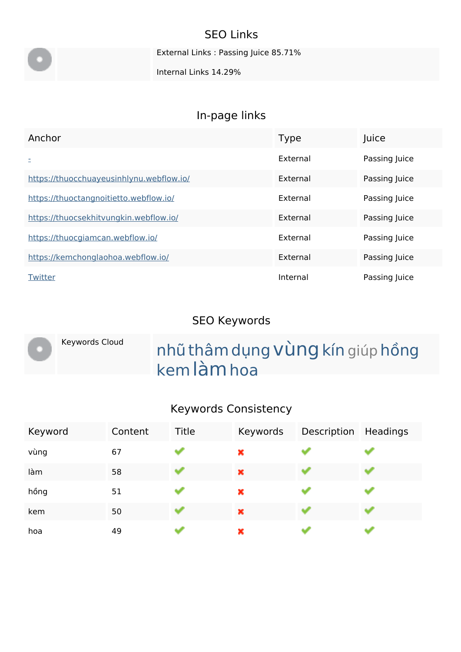# **SEO Links**

External Links : Passing Juice 85.71%

Internal Links 14.29%

# **In-page links**

| Anchor                                   | <b>Type</b> | Juice         |
|------------------------------------------|-------------|---------------|
|                                          | External    | Passing Juice |
| https://thuocchuayeusinhlynu.webflow.io/ | External    | Passing Juice |
| https://thuoctangnoitietto.webflow.io/   | External    | Passing Juice |
| https://thuocsekhitvungkin.webflow.io/   | External    | Passing Juice |
| https://thuocgiamcan.webflow.io/         | External    | Passing Juice |
| https://kemchonglaohoa.webflow.io/       | External    | Passing Juice |
| Twitter                                  | Internal    | Passing Juice |

#### **SEO Keywords**

|  | Keywords Cloud | nhũ thâm dụng Vùng kín giúp hồng |
|--|----------------|----------------------------------|
|  |                | kem làm hoa                      |

# **Keywords Consistency**

| Keyword | Content | Title | Keywords | Description | Headings |
|---------|---------|-------|----------|-------------|----------|
| vùng    | 67      |       | ×        |             |          |
| làm     | 58      |       | ×        |             |          |
| hồng    | 51      |       | ×        |             |          |
| kem     | 50      |       | ×        |             |          |
| hoa     | 49      |       | ×        |             |          |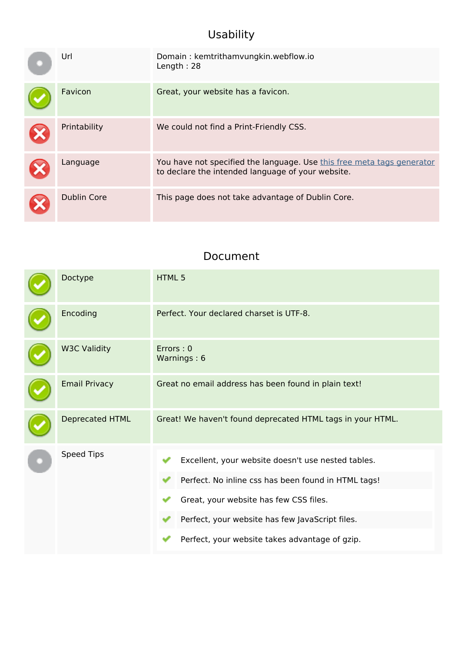# **Usability**

| Url                | Domain: kemtrithamvungkin.webflow.io<br>Length: $28$                                                                        |
|--------------------|-----------------------------------------------------------------------------------------------------------------------------|
| Favicon            | Great, your website has a favicon.                                                                                          |
| Printability       | We could not find a Print-Friendly CSS.                                                                                     |
| Language           | You have not specified the language. Use this free meta tags generator<br>to declare the intended language of your website. |
| <b>Dublin Core</b> | This page does not take advantage of Dublin Core.                                                                           |

#### **Document**

| Doctype              | HTML <sub>5</sub>                                                                                                                                                                                                                                        |  |  |
|----------------------|----------------------------------------------------------------------------------------------------------------------------------------------------------------------------------------------------------------------------------------------------------|--|--|
| Encoding             | Perfect. Your declared charset is UTF-8.                                                                                                                                                                                                                 |  |  |
| <b>W3C Validity</b>  | Errors: 0<br>Warnings: 6                                                                                                                                                                                                                                 |  |  |
| <b>Email Privacy</b> | Great no email address has been found in plain text!                                                                                                                                                                                                     |  |  |
| Deprecated HTML      | Great! We haven't found deprecated HTML tags in your HTML.                                                                                                                                                                                               |  |  |
| <b>Speed Tips</b>    | Excellent, your website doesn't use nested tables.<br>Perfect. No inline css has been found in HTML tags!<br>Great, your website has few CSS files.<br>Perfect, your website has few JavaScript files.<br>Perfect, your website takes advantage of gzip. |  |  |